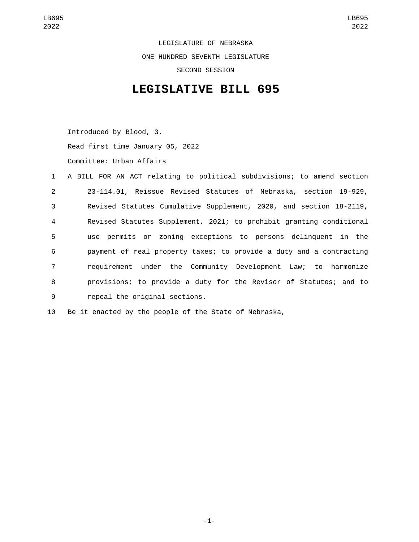LEGISLATURE OF NEBRASKA ONE HUNDRED SEVENTH LEGISLATURE SECOND SESSION

## **LEGISLATIVE BILL 695**

Introduced by Blood, 3. Read first time January 05, 2022 Committee: Urban Affairs

|                | 1 A BILL FOR AN ACT relating to political subdivisions; to amend section |
|----------------|--------------------------------------------------------------------------|
| 2              | 23-114.01, Reissue Revised Statutes of Nebraska, section 19-929,         |
| $\mathbf{3}$   | Revised Statutes Cumulative Supplement, 2020, and section 18-2119,       |
| $\overline{4}$ | Revised Statutes Supplement, 2021; to prohibit granting conditional      |
| 5              | use permits or zoning exceptions to persons delinguent in the            |
| 6              | payment of real property taxes; to provide a duty and a contracting      |
| $\overline{7}$ | requirement under the Community Development Law; to harmonize            |
| 8              | provisions; to provide a duty for the Revisor of Statutes; and to        |
| 9              | repeal the original sections.                                            |

10 Be it enacted by the people of the State of Nebraska,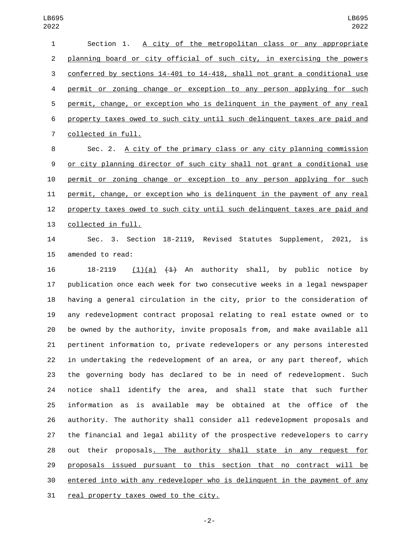| $\mathbf{1}$ | Section 1. A city of the metropolitan class or any appropriate            |
|--------------|---------------------------------------------------------------------------|
| 2            | planning board or city official of such city, in exercising the powers    |
| 3            | conferred by sections 14-401 to 14-418, shall not grant a conditional use |
| 4            | permit or zoning change or exception to any person applying for such      |
| 5            | permit, change, or exception who is delinguent in the payment of any real |
| 6            | property taxes owed to such city until such delinguent taxes are paid and |
| $7^{\circ}$  | collected in full.                                                        |
| 8            | Sec. 2. A city of the primary class or any city planning commission       |

 or city planning director of such city shall not grant a conditional use permit or zoning change or exception to any person applying for such permit, change, or exception who is delinquent in the payment of any real property taxes owed to such city until such delinquent taxes are paid and 13 collected in full.

 Sec. 3. Section 18-2119, Revised Statutes Supplement, 2021, is 15 amended to read:

16 18-2119 (1)(a)  $(1)$  An authority shall, by public notice by publication once each week for two consecutive weeks in a legal newspaper having a general circulation in the city, prior to the consideration of any redevelopment contract proposal relating to real estate owned or to be owned by the authority, invite proposals from, and make available all pertinent information to, private redevelopers or any persons interested in undertaking the redevelopment of an area, or any part thereof, which the governing body has declared to be in need of redevelopment. Such notice shall identify the area, and shall state that such further information as is available may be obtained at the office of the authority. The authority shall consider all redevelopment proposals and the financial and legal ability of the prospective redevelopers to carry out their proposals. The authority shall state in any request for proposals issued pursuant to this section that no contract will be entered into with any redeveloper who is delinquent in the payment of any 31 real property taxes owed to the city.

-2-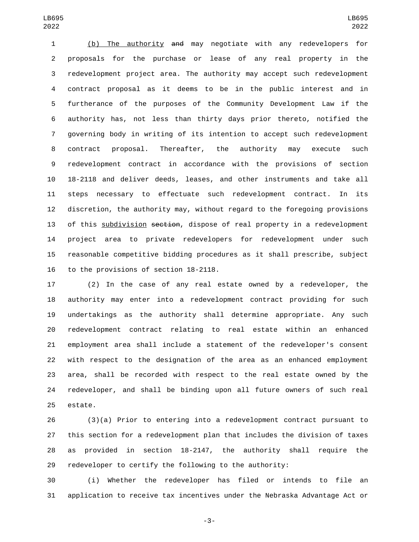(b) The authority and may negotiate with any redevelopers for proposals for the purchase or lease of any real property in the redevelopment project area. The authority may accept such redevelopment contract proposal as it deems to be in the public interest and in furtherance of the purposes of the Community Development Law if the authority has, not less than thirty days prior thereto, notified the governing body in writing of its intention to accept such redevelopment contract proposal. Thereafter, the authority may execute such redevelopment contract in accordance with the provisions of section 18-2118 and deliver deeds, leases, and other instruments and take all steps necessary to effectuate such redevelopment contract. In its discretion, the authority may, without regard to the foregoing provisions 13 of this subdivision section, dispose of real property in a redevelopment project area to private redevelopers for redevelopment under such reasonable competitive bidding procedures as it shall prescribe, subject 16 to the provisions of section 18-2118.

 (2) In the case of any real estate owned by a redeveloper, the authority may enter into a redevelopment contract providing for such undertakings as the authority shall determine appropriate. Any such redevelopment contract relating to real estate within an enhanced employment area shall include a statement of the redeveloper's consent with respect to the designation of the area as an enhanced employment area, shall be recorded with respect to the real estate owned by the redeveloper, and shall be binding upon all future owners of such real 25 estate.

 (3)(a) Prior to entering into a redevelopment contract pursuant to this section for a redevelopment plan that includes the division of taxes as provided in section 18-2147, the authority shall require the redeveloper to certify the following to the authority:

 (i) Whether the redeveloper has filed or intends to file an application to receive tax incentives under the Nebraska Advantage Act or

-3-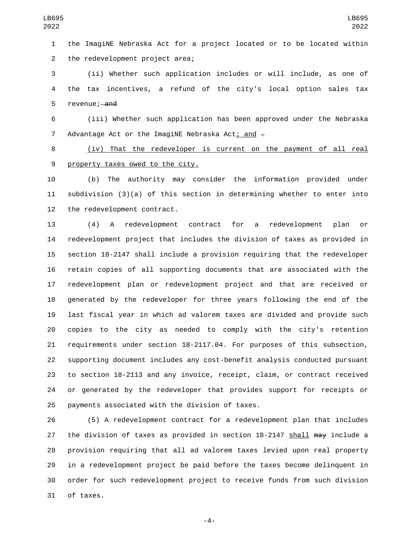the ImagiNE Nebraska Act for a project located or to be located within 2 the redevelopment project area;

 (ii) Whether such application includes or will include, as one of the tax incentives, a refund of the city's local option sales tax 5 revenue; and

 (iii) Whether such application has been approved under the Nebraska 7 Advantage Act or the ImagiNE Nebraska Act; and  $\div$ 

 (iv) That the redeveloper is current on the payment of all real 9 property taxes owed to the city.

 (b) The authority may consider the information provided under subdivision (3)(a) of this section in determining whether to enter into 12 the redevelopment contract.

 (4) A redevelopment contract for a redevelopment plan or redevelopment project that includes the division of taxes as provided in section 18-2147 shall include a provision requiring that the redeveloper retain copies of all supporting documents that are associated with the redevelopment plan or redevelopment project and that are received or generated by the redeveloper for three years following the end of the last fiscal year in which ad valorem taxes are divided and provide such copies to the city as needed to comply with the city's retention requirements under section 18-2117.04. For purposes of this subsection, supporting document includes any cost-benefit analysis conducted pursuant to section 18-2113 and any invoice, receipt, claim, or contract received or generated by the redeveloper that provides support for receipts or 25 payments associated with the division of taxes.

 (5) A redevelopment contract for a redevelopment plan that includes 27 the division of taxes as provided in section 18-2147 shall may include a provision requiring that all ad valorem taxes levied upon real property in a redevelopment project be paid before the taxes become delinquent in order for such redevelopment project to receive funds from such division 31 of taxes.

-4-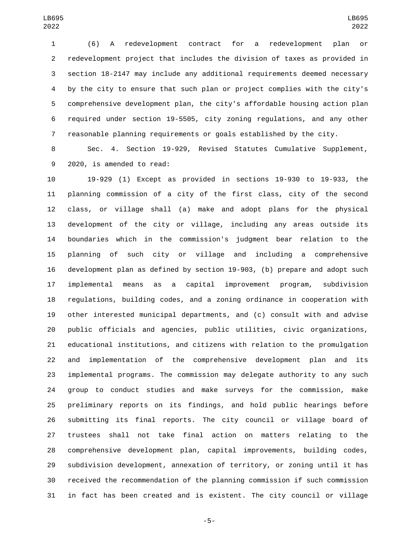(6) A redevelopment contract for a redevelopment plan or redevelopment project that includes the division of taxes as provided in section 18-2147 may include any additional requirements deemed necessary by the city to ensure that such plan or project complies with the city's comprehensive development plan, the city's affordable housing action plan required under section 19-5505, city zoning regulations, and any other reasonable planning requirements or goals established by the city.

 Sec. 4. Section 19-929, Revised Statutes Cumulative Supplement, 9 2020, is amended to read:

 19-929 (1) Except as provided in sections 19-930 to 19-933, the planning commission of a city of the first class, city of the second class, or village shall (a) make and adopt plans for the physical development of the city or village, including any areas outside its boundaries which in the commission's judgment bear relation to the planning of such city or village and including a comprehensive development plan as defined by section 19-903, (b) prepare and adopt such implemental means as a capital improvement program, subdivision regulations, building codes, and a zoning ordinance in cooperation with other interested municipal departments, and (c) consult with and advise public officials and agencies, public utilities, civic organizations, educational institutions, and citizens with relation to the promulgation and implementation of the comprehensive development plan and its implemental programs. The commission may delegate authority to any such group to conduct studies and make surveys for the commission, make preliminary reports on its findings, and hold public hearings before submitting its final reports. The city council or village board of trustees shall not take final action on matters relating to the comprehensive development plan, capital improvements, building codes, subdivision development, annexation of territory, or zoning until it has received the recommendation of the planning commission if such commission in fact has been created and is existent. The city council or village

-5-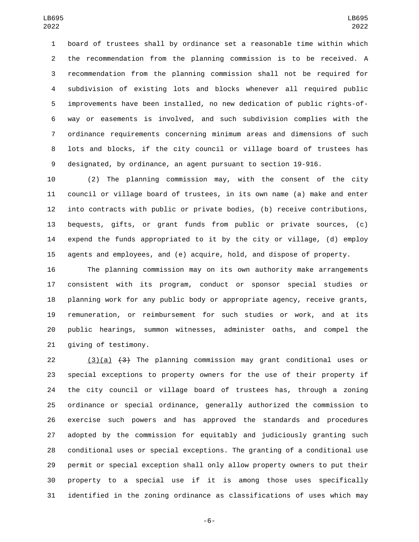board of trustees shall by ordinance set a reasonable time within which the recommendation from the planning commission is to be received. A recommendation from the planning commission shall not be required for subdivision of existing lots and blocks whenever all required public improvements have been installed, no new dedication of public rights-of- way or easements is involved, and such subdivision complies with the ordinance requirements concerning minimum areas and dimensions of such lots and blocks, if the city council or village board of trustees has designated, by ordinance, an agent pursuant to section 19-916.

 (2) The planning commission may, with the consent of the city council or village board of trustees, in its own name (a) make and enter into contracts with public or private bodies, (b) receive contributions, bequests, gifts, or grant funds from public or private sources, (c) expend the funds appropriated to it by the city or village, (d) employ agents and employees, and (e) acquire, hold, and dispose of property.

 The planning commission may on its own authority make arrangements consistent with its program, conduct or sponsor special studies or planning work for any public body or appropriate agency, receive grants, remuneration, or reimbursement for such studies or work, and at its public hearings, summon witnesses, administer oaths, and compel the 21 giving of testimony.

 $(3)(a)$   $(3)$  The planning commission may grant conditional uses or special exceptions to property owners for the use of their property if the city council or village board of trustees has, through a zoning ordinance or special ordinance, generally authorized the commission to exercise such powers and has approved the standards and procedures adopted by the commission for equitably and judiciously granting such conditional uses or special exceptions. The granting of a conditional use permit or special exception shall only allow property owners to put their property to a special use if it is among those uses specifically identified in the zoning ordinance as classifications of uses which may

-6-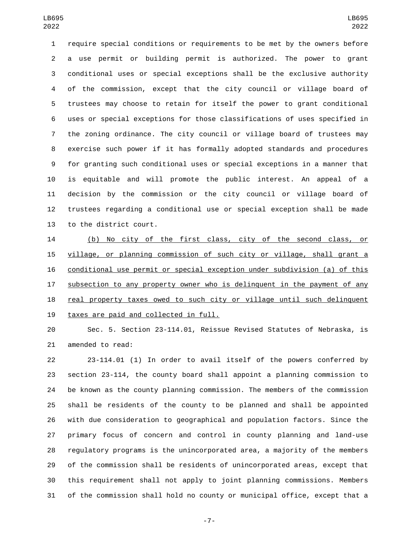require special conditions or requirements to be met by the owners before a use permit or building permit is authorized. The power to grant conditional uses or special exceptions shall be the exclusive authority of the commission, except that the city council or village board of trustees may choose to retain for itself the power to grant conditional uses or special exceptions for those classifications of uses specified in the zoning ordinance. The city council or village board of trustees may exercise such power if it has formally adopted standards and procedures for granting such conditional uses or special exceptions in a manner that is equitable and will promote the public interest. An appeal of a decision by the commission or the city council or village board of trustees regarding a conditional use or special exception shall be made 13 to the district court.

 (b) No city of the first class, city of the second class, or village, or planning commission of such city or village, shall grant a conditional use permit or special exception under subdivision (a) of this subsection to any property owner who is delinquent in the payment of any real property taxes owed to such city or village until such delinquent 19 taxes are paid and collected in full.

 Sec. 5. Section 23-114.01, Reissue Revised Statutes of Nebraska, is 21 amended to read:

 23-114.01 (1) In order to avail itself of the powers conferred by section 23-114, the county board shall appoint a planning commission to be known as the county planning commission. The members of the commission shall be residents of the county to be planned and shall be appointed with due consideration to geographical and population factors. Since the primary focus of concern and control in county planning and land-use regulatory programs is the unincorporated area, a majority of the members of the commission shall be residents of unincorporated areas, except that this requirement shall not apply to joint planning commissions. Members of the commission shall hold no county or municipal office, except that a

-7-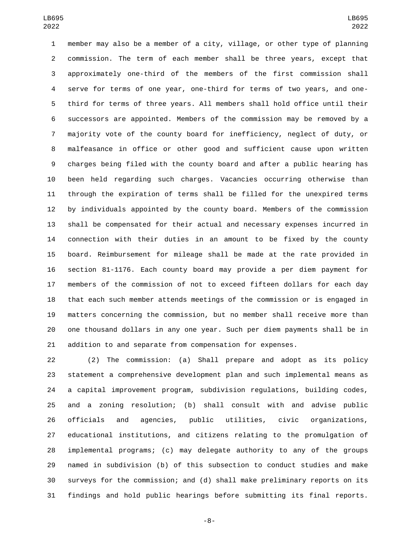member may also be a member of a city, village, or other type of planning commission. The term of each member shall be three years, except that approximately one-third of the members of the first commission shall serve for terms of one year, one-third for terms of two years, and one- third for terms of three years. All members shall hold office until their successors are appointed. Members of the commission may be removed by a majority vote of the county board for inefficiency, neglect of duty, or malfeasance in office or other good and sufficient cause upon written charges being filed with the county board and after a public hearing has been held regarding such charges. Vacancies occurring otherwise than through the expiration of terms shall be filled for the unexpired terms by individuals appointed by the county board. Members of the commission shall be compensated for their actual and necessary expenses incurred in connection with their duties in an amount to be fixed by the county board. Reimbursement for mileage shall be made at the rate provided in section 81-1176. Each county board may provide a per diem payment for members of the commission of not to exceed fifteen dollars for each day that each such member attends meetings of the commission or is engaged in matters concerning the commission, but no member shall receive more than one thousand dollars in any one year. Such per diem payments shall be in addition to and separate from compensation for expenses.

 (2) The commission: (a) Shall prepare and adopt as its policy statement a comprehensive development plan and such implemental means as a capital improvement program, subdivision regulations, building codes, and a zoning resolution; (b) shall consult with and advise public officials and agencies, public utilities, civic organizations, educational institutions, and citizens relating to the promulgation of implemental programs; (c) may delegate authority to any of the groups named in subdivision (b) of this subsection to conduct studies and make surveys for the commission; and (d) shall make preliminary reports on its findings and hold public hearings before submitting its final reports.

-8-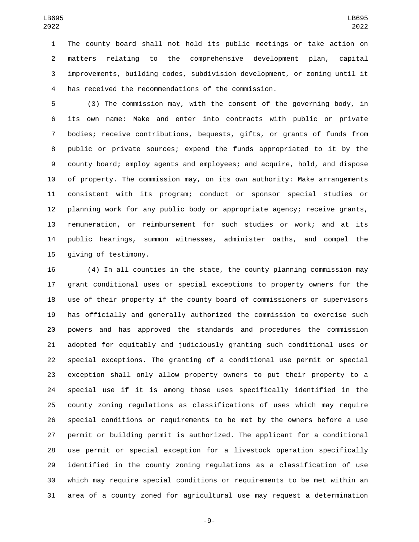The county board shall not hold its public meetings or take action on matters relating to the comprehensive development plan, capital improvements, building codes, subdivision development, or zoning until it has received the recommendations of the commission.

 (3) The commission may, with the consent of the governing body, in its own name: Make and enter into contracts with public or private bodies; receive contributions, bequests, gifts, or grants of funds from public or private sources; expend the funds appropriated to it by the county board; employ agents and employees; and acquire, hold, and dispose of property. The commission may, on its own authority: Make arrangements consistent with its program; conduct or sponsor special studies or planning work for any public body or appropriate agency; receive grants, remuneration, or reimbursement for such studies or work; and at its public hearings, summon witnesses, administer oaths, and compel the 15 giving of testimony.

 (4) In all counties in the state, the county planning commission may grant conditional uses or special exceptions to property owners for the use of their property if the county board of commissioners or supervisors has officially and generally authorized the commission to exercise such powers and has approved the standards and procedures the commission adopted for equitably and judiciously granting such conditional uses or special exceptions. The granting of a conditional use permit or special exception shall only allow property owners to put their property to a special use if it is among those uses specifically identified in the county zoning regulations as classifications of uses which may require special conditions or requirements to be met by the owners before a use permit or building permit is authorized. The applicant for a conditional use permit or special exception for a livestock operation specifically identified in the county zoning regulations as a classification of use which may require special conditions or requirements to be met within an area of a county zoned for agricultural use may request a determination

-9-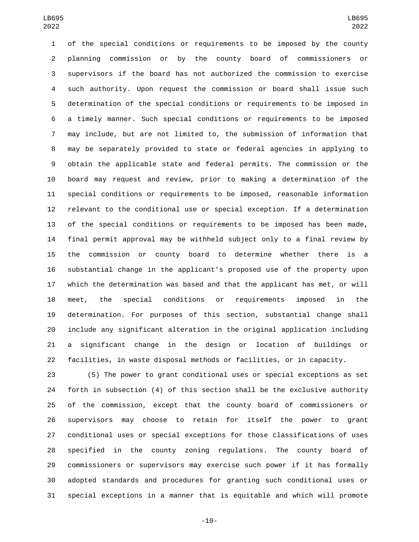of the special conditions or requirements to be imposed by the county planning commission or by the county board of commissioners or supervisors if the board has not authorized the commission to exercise such authority. Upon request the commission or board shall issue such determination of the special conditions or requirements to be imposed in a timely manner. Such special conditions or requirements to be imposed may include, but are not limited to, the submission of information that may be separately provided to state or federal agencies in applying to obtain the applicable state and federal permits. The commission or the board may request and review, prior to making a determination of the special conditions or requirements to be imposed, reasonable information relevant to the conditional use or special exception. If a determination of the special conditions or requirements to be imposed has been made, final permit approval may be withheld subject only to a final review by the commission or county board to determine whether there is a substantial change in the applicant's proposed use of the property upon which the determination was based and that the applicant has met, or will meet, the special conditions or requirements imposed in the determination. For purposes of this section, substantial change shall include any significant alteration in the original application including a significant change in the design or location of buildings or facilities, in waste disposal methods or facilities, or in capacity.

 (5) The power to grant conditional uses or special exceptions as set forth in subsection (4) of this section shall be the exclusive authority of the commission, except that the county board of commissioners or supervisors may choose to retain for itself the power to grant conditional uses or special exceptions for those classifications of uses specified in the county zoning regulations. The county board of commissioners or supervisors may exercise such power if it has formally adopted standards and procedures for granting such conditional uses or special exceptions in a manner that is equitable and which will promote

-10-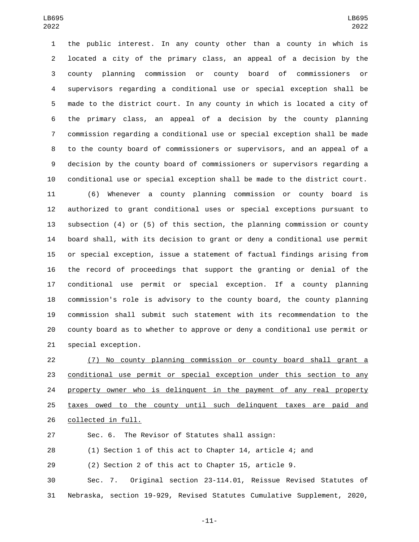the public interest. In any county other than a county in which is located a city of the primary class, an appeal of a decision by the county planning commission or county board of commissioners or supervisors regarding a conditional use or special exception shall be made to the district court. In any county in which is located a city of the primary class, an appeal of a decision by the county planning commission regarding a conditional use or special exception shall be made to the county board of commissioners or supervisors, and an appeal of a decision by the county board of commissioners or supervisors regarding a conditional use or special exception shall be made to the district court.

 (6) Whenever a county planning commission or county board is authorized to grant conditional uses or special exceptions pursuant to subsection (4) or (5) of this section, the planning commission or county board shall, with its decision to grant or deny a conditional use permit or special exception, issue a statement of factual findings arising from the record of proceedings that support the granting or denial of the conditional use permit or special exception. If a county planning commission's role is advisory to the county board, the county planning commission shall submit such statement with its recommendation to the county board as to whether to approve or deny a conditional use permit or 21 special exception.

 (7) No county planning commission or county board shall grant a conditional use permit or special exception under this section to any property owner who is delinquent in the payment of any real property taxes owed to the county until such delinquent taxes are paid and 26 collected in full.

Sec. 6. The Revisor of Statutes shall assign:

(1) Section 1 of this act to Chapter 14, article 4; and

(2) Section 2 of this act to Chapter 15, article 9.

 Sec. 7. Original section 23-114.01, Reissue Revised Statutes of Nebraska, section 19-929, Revised Statutes Cumulative Supplement, 2020,

-11-